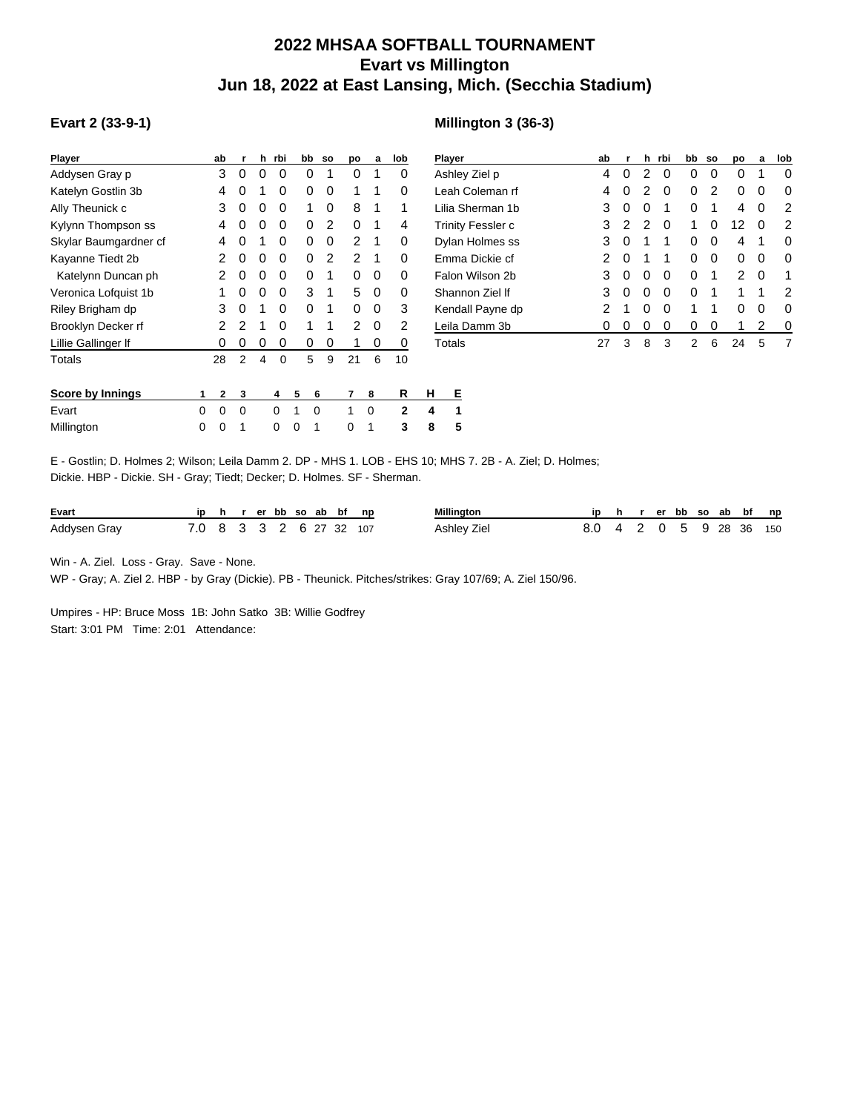## **2022 MHSAA SOFTBALL TOURNAMENT Evart vs Millington Jun 18, 2022 at East Lansing, Mich. (Secchia Stadium)**

## **Evart 2 (33-9-1)**

## **Millington 3 (36-3)**

| <b>Player</b>         |   | ab             | r              | h | rbi | bb |   | <b>SO</b>      | DО | a | lob          |         | Player |  |
|-----------------------|---|----------------|----------------|---|-----|----|---|----------------|----|---|--------------|---------|--------|--|
| Addysen Gray p        |   | 3              | 0              | 0 | 0   |    | 0 | 1              | 0  | 1 | 0            |         | Ashle  |  |
| Katelyn Gostlin 3b    |   | 4              | 0              | 1 | 0   |    | 0 | 0              | 1  | 1 | 0            |         | Leah   |  |
| Ally Theunick c       |   | 3              | 0              | 0 | 0   |    | 1 | 0              | 8  | 1 | 1            | Lilia S |        |  |
| Kylynn Thompson ss    |   | 4              | 0              | 0 | 0   |    | 0 | 2              | 0  | 1 | 4            | Trinit  |        |  |
| Skylar Baumgardner cf |   | 4              | O              | 1 | 0   |    | 0 | 0              | 2  | 1 | 0            | Dylar   |        |  |
| Kayanne Tiedt 2b      |   | 2              | 0              | 0 | 0   |    | 0 | $\overline{2}$ | 2  | 1 | 0            |         | Emm    |  |
| Katelynn Duncan ph    |   | 2              | 0              | 0 | 0   |    | 0 | 1              | 0  | 0 | 0            |         | Falon  |  |
| Veronica Lofquist 1b  |   | 1              | 0              | 0 | 0   |    | 3 | 1              | 5  | 0 | 0            | Shan    |        |  |
| Riley Brigham dp      |   | 3              | 0              | 1 | 0   |    | 0 | 1              | 0  | 0 | 3            | Kend    |        |  |
| Brooklyn Decker rf    |   | 2              | 2              | 1 | 0   |    | 1 | 1              | 2  | 0 | 2            | Leila   |        |  |
| Lillie Gallinger If   |   | 0              | 0              | 0 | 0   |    | 0 | 0              | 1  | 0 | 0            |         | Total: |  |
| Totals                |   | 28             | $\overline{2}$ | 4 | 0   |    | 5 | 9              | 21 | 6 | 10           |         |        |  |
|                       |   |                |                |   |     |    |   |                |    |   |              |         |        |  |
| Score by Innings      | 1 | $\overline{2}$ | 3              |   | 4   | 5  | 6 |                | 7  | 8 | R            | н       | Е      |  |
| Evart                 | 0 | 0              | 0              |   | 0   | 1  | 0 |                | 1  | 0 | $\mathbf{2}$ | 4       | 1      |  |
| Millington            | 0 | 0              | 1              |   | 0   | 0  | 1 |                | 0  | 1 | 3            | 8       | 5      |  |
|                       |   |                |                |   |     |    |   |                |    |   |              |         |        |  |

| <b>Player</b>     | ab | r  | h.           | rbi | bb | <b>SO</b> | po | a | lob |
|-------------------|----|----|--------------|-----|----|-----------|----|---|-----|
| Ashley Ziel p     | 4  | 0  | 2            | Ω   | 0  | 0         | Ω  | 1 | 0   |
| Leah Coleman rf   | 4  | 0  | 2            | Ω   | 0  | 2         | 0  | 0 | 0   |
| Lilia Sherman 1b  | 3  | 0  | 0            | 1   | 0  | 1         | 4  | 0 | 2   |
| Trinity Fessler c | 3  | 2  | 2            | O   | 1  | 0         | 12 | 0 | 2   |
| Dylan Holmes ss   | 3  | 0  | 1            | 1   | 0  | 0         | 4  | 1 | 0   |
| Emma Dickie cf    | 2  | 0  | 1            | 1   | 0  | 0         | 0  | 0 | 0   |
| Falon Wilson 2b   | 3  | 0  | O            | O   | 0  | 1         | 2  | 0 | 1   |
| Shannon Ziel If   | 3  | 0  | O            | ∩   | 0  | 1         | 1  | 1 | 2   |
| Kendall Payne dp  | 2  | 1  | O            | O   | 1  | 1         | Ω  | 0 | 0   |
| Leila Damm 3b     | 0  | O) | $\mathbf{O}$ | Ω   | 0  | O         | 1  | 2 | 0   |
| Totals            | 27 | 3  | 8            | 3   | 2  | 6         | 24 | 5 | 7   |

| E - Gostlin: D. Holmes 2: Wilson: Leila Damm 2. DP - MHS 1. LOB - EHS 10: MHS 7. 2B - A. Ziel: D. Holmes: |
|-----------------------------------------------------------------------------------------------------------|
| Dickie. HBP - Dickie. SH - Gray: Tiedt: Decker: D. Holmes. SF - Sherman.                                  |

| Evart        |                         |  |  |  | ip h r er bb so ab bf np | Millington  |                         |  |  |  | ip h r er bb so ab bf np |  |
|--------------|-------------------------|--|--|--|--------------------------|-------------|-------------------------|--|--|--|--------------------------|--|
| Addysen Gray | 7.0 8 3 3 2 6 27 32 107 |  |  |  |                          | Ashley Ziel | 8.0 4 2 0 5 9 28 36 150 |  |  |  |                          |  |

Win - A. Ziel. Loss - Gray. Save - None.

WP - Gray; A. Ziel 2. HBP - by Gray (Dickie). PB - Theunick. Pitches/strikes: Gray 107/69; A. Ziel 150/96.

Umpires - HP: Bruce Moss 1B: John Satko 3B: Willie Godfrey Start: 3:01 PM Time: 2:01 Attendance: